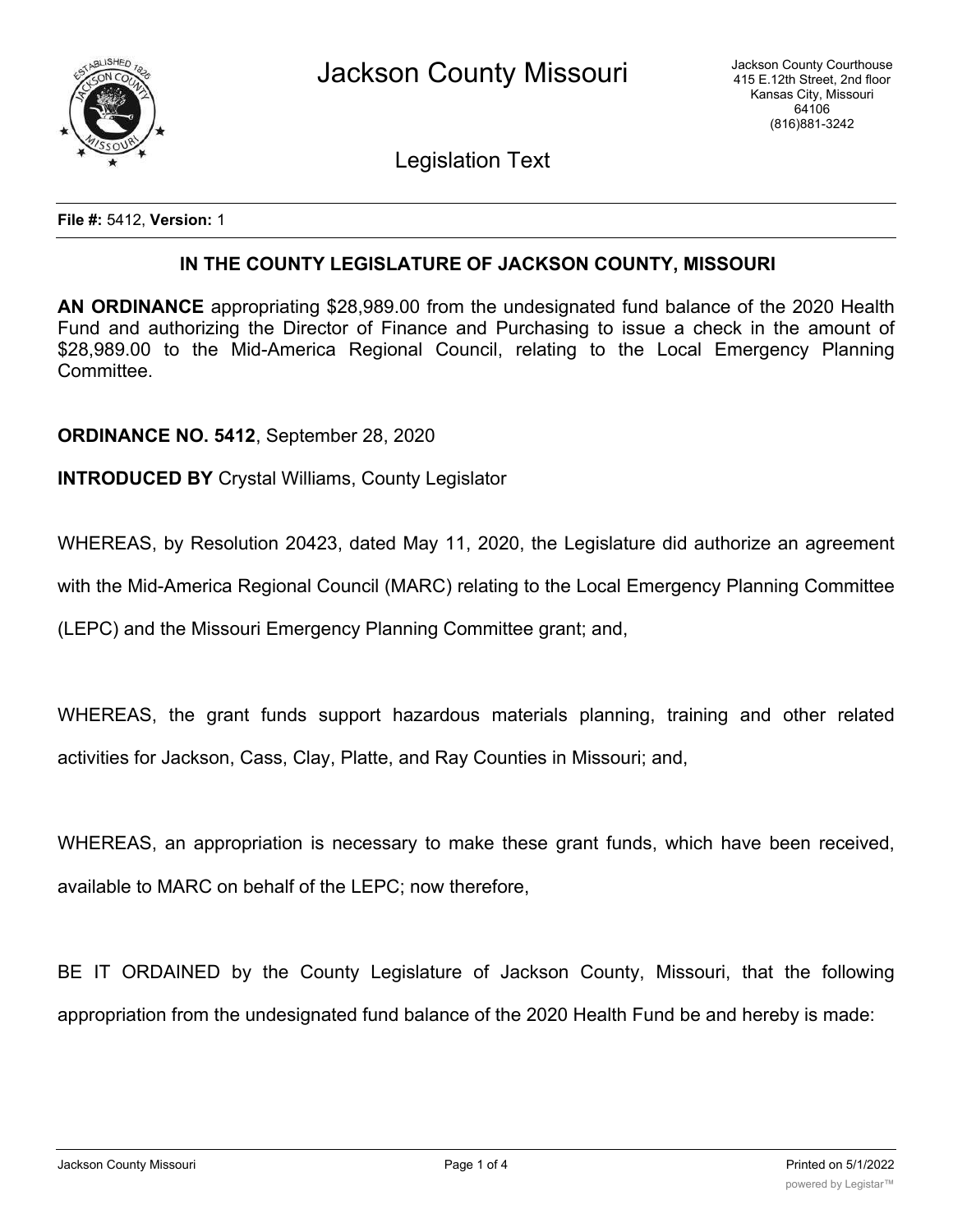

Legislation Text

**File #:** 5412, **Version:** 1

## **IN THE COUNTY LEGISLATURE OF JACKSON COUNTY, MISSOURI**

**AN ORDINANCE** appropriating \$28,989.00 from the undesignated fund balance of the 2020 Health Fund and authorizing the Director of Finance and Purchasing to issue a check in the amount of \$28,989.00 to the Mid-America Regional Council, relating to the Local Emergency Planning Committee.

**ORDINANCE NO. 5412**, September 28, 2020

**INTRODUCED BY** Crystal Williams, County Legislator

WHEREAS, by Resolution 20423, dated May 11, 2020, the Legislature did authorize an agreement

with the Mid-America Regional Council (MARC) relating to the Local Emergency Planning Committee

(LEPC) and the Missouri Emergency Planning Committee grant; and,

WHEREAS, the grant funds support hazardous materials planning, training and other related activities for Jackson, Cass, Clay, Platte, and Ray Counties in Missouri; and,

WHEREAS, an appropriation is necessary to make these grant funds, which have been received, available to MARC on behalf of the LEPC; now therefore,

BE IT ORDAINED by the County Legislature of Jackson County, Missouri, that the following appropriation from the undesignated fund balance of the 2020 Health Fund be and hereby is made: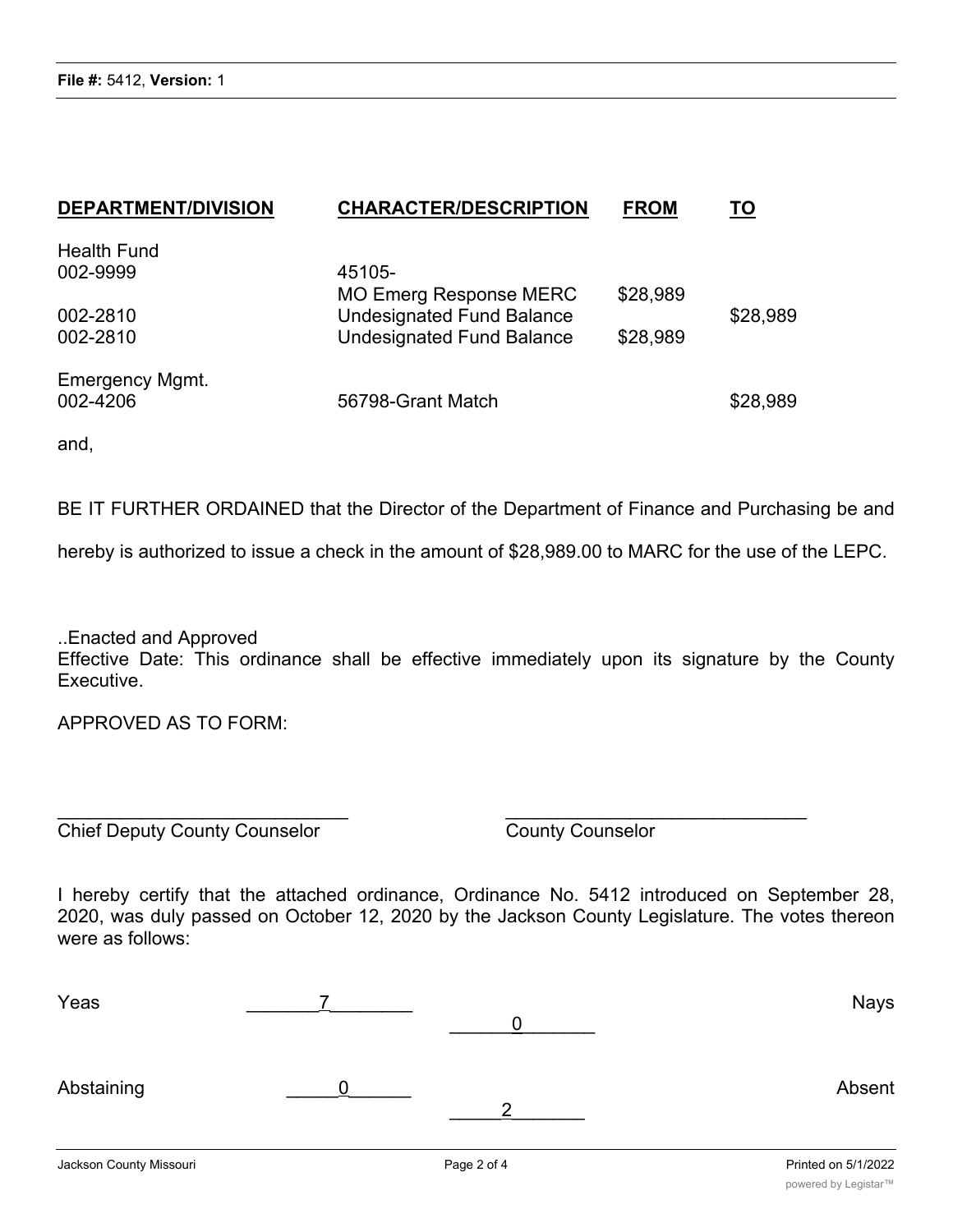| <b>DEPARTMENT/DIVISION</b> | <b>CHARACTER/DESCRIPTION</b>     | <b>FROM</b> | TO       |
|----------------------------|----------------------------------|-------------|----------|
| <b>Health Fund</b>         |                                  |             |          |
| 002-9999                   | 45105-                           |             |          |
|                            | <b>MO Emerg Response MERC</b>    | \$28,989    |          |
| 002-2810                   | <b>Undesignated Fund Balance</b> |             | \$28,989 |
| 002-2810                   | <b>Undesignated Fund Balance</b> | \$28,989    |          |
| <b>Emergency Mgmt.</b>     |                                  |             |          |
| 002-4206                   | 56798-Grant Match                |             | \$28,989 |

and,

BE IT FURTHER ORDAINED that the Director of the Department of Finance and Purchasing be and

hereby is authorized to issue a check in the amount of \$28,989.00 to MARC for the use of the LEPC.

..Enacted and Approved Effective Date: This ordinance shall be effective immediately upon its signature by the County Executive.

APPROVED AS TO FORM:

Chief Deputy County Counselor County Counselor

I hereby certify that the attached ordinance, Ordinance No. 5412 introduced on September 28, 2020, was duly passed on October 12, 2020 by the Jackson County Legislature. The votes thereon were as follows:

 $\overline{\phantom{a}}$  , and the contract of the contract of the contract of the contract of the contract of the contract of the contract of the contract of the contract of the contract of the contract of the contract of the contrac

| Yeas                    |             | <b>Nays</b>         |
|-------------------------|-------------|---------------------|
| Abstaining              | ◠           | Absent              |
| Jackson County Missouri | Page 2 of 4 | Printed on 5/1/2022 |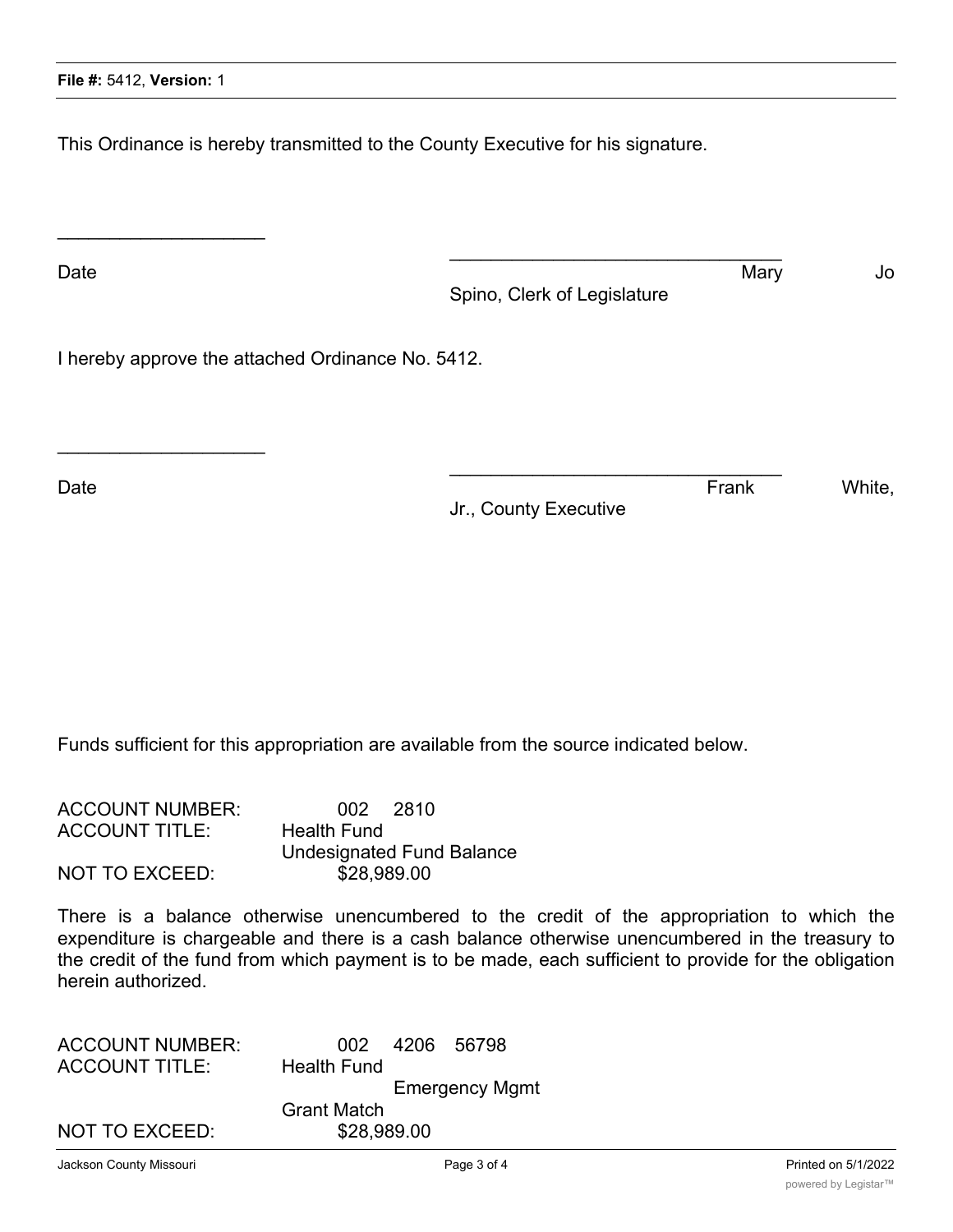$\overline{\phantom{a}}$  , where  $\overline{\phantom{a}}$  , where  $\overline{\phantom{a}}$  , where  $\overline{\phantom{a}}$ 

 $\overline{\phantom{a}}$  , where  $\overline{\phantom{a}}$  , where  $\overline{\phantom{a}}$  , where  $\overline{\phantom{a}}$ 

This Ordinance is hereby transmitted to the County Executive for his signature.

Date and the Mary Section of the Mary Section of the Mary Section of the Mary Section of the Mary Section of the Mary Section of the Mary Section of the Mary Section of the Mary Section of the Mary Section of the Mary Sect Spino, Clerk of Legislature

 $\mathcal{L}_\mathcal{L}$  , where  $\mathcal{L}_\mathcal{L}$  is the set of the set of the set of the set of the set of the set of the set of the set of the set of the set of the set of the set of the set of the set of the set of the set of the

 $\mathcal{L}_\mathcal{L}$  , where  $\mathcal{L}_\mathcal{L}$  is the set of the set of the set of the set of the set of the set of the set of the set of the set of the set of the set of the set of the set of the set of the set of the set of the

I hereby approve the attached Ordinance No. 5412.

Date **Example 20** Notice that the contract of the contract of the contract of the contract of the contract of the contract of the contract of the contract of the contract of the contract of the contract of the contract of

Jr., County Executive

Funds sufficient for this appropriation are available from the source indicated below.

| <b>ACCOUNT NUMBER:</b> | 002 2810                         |
|------------------------|----------------------------------|
| <b>ACCOUNT TITLE:</b>  | Health Fund                      |
|                        | <b>Undesignated Fund Balance</b> |
| NOT TO EXCEED:         | \$28,989.00                      |

There is a balance otherwise unencumbered to the credit of the appropriation to which the expenditure is chargeable and there is a cash balance otherwise unencumbered in the treasury to the credit of the fund from which payment is to be made, each sufficient to provide for the obligation herein authorized.

| <b>ACCOUNT NUMBER:</b> | 002 4206 56798        |
|------------------------|-----------------------|
| <b>ACCOUNT TITLE:</b>  | <b>Health Fund</b>    |
|                        | <b>Emergency Mgmt</b> |
|                        | <b>Grant Match</b>    |
| <b>NOT TO EXCEED:</b>  | \$28,989.00           |